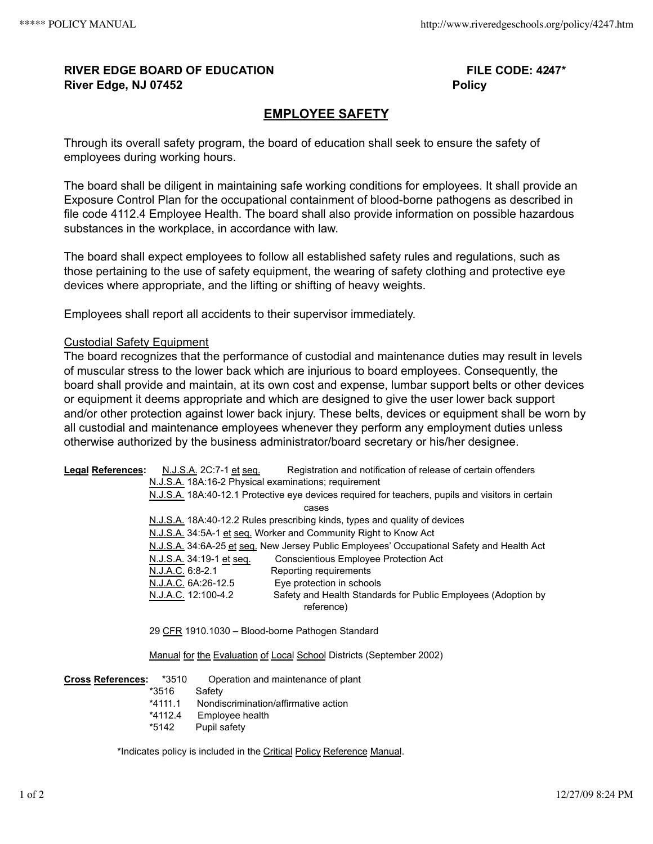## **RIVER EDGE BOARD OF EDUCATION FILE CODE: 4247\* River Edge, NJ 07452 Policy**

## **EMPLOYEE SAFETY**

Through its overall safety program, the board of education shall seek to ensure the safety of employees during working hours.

The board shall be diligent in maintaining safe working conditions for employees. It shall provide an Exposure Control Plan for the occupational containment of blood-borne pathogens as described in file code 4112.4 Employee Health. The board shall also provide information on possible hazardous substances in the workplace, in accordance with law.

The board shall expect employees to follow all established safety rules and regulations, such as those pertaining to the use of safety equipment, the wearing of safety clothing and protective eye devices where appropriate, and the lifting or shifting of heavy weights.

Employees shall report all accidents to their supervisor immediately.

## Custodial Safety Equipment

The board recognizes that the performance of custodial and maintenance duties may result in levels of muscular stress to the lower back which are injurious to board employees. Consequently, the board shall provide and maintain, at its own cost and expense, lumbar support belts or other devices or equipment it deems appropriate and which are designed to give the user lower back support and/or other protection against lower back injury. These belts, devices or equipment shall be worn by all custodial and maintenance employees whenever they perform any employment duties unless otherwise authorized by the business administrator/board secretary or his/her designee.

**Legal References:** N.J.S.A. 2C:7-1 et seq. Registration and notification of release of certain offenders N.J.S.A. 18A:16‑2 Physical examinations; requirement N.J.S.A. 18A:40‑12.1 Protective eye devices required for teachers, pupils and visitors in certain cases N.J.S.A. 18A:40‑12.2 Rules prescribing kinds, types and quality of devices N.J.S.A. 34:5A-1 et seq. Worker and Community Right to Know Act N.J.S.A. 34:6A-25 et seq. New Jersey Public Employees' Occupational Safety and Health Act N.J.S.A. 34:19-1 et seq. Conscientious Employee Protection Act N.J.A.C. 6:8-2.1 Reporting requirements N.J.A.C. 6A:26-12.5 Eye protection in schools N.J.A.C. 12:100-4.2 Safety and Health Standards for Public Employees (Adoption by reference) 29 CFR 1910.1030 – Blood-borne Pathogen Standard Manual for the Evaluation of Local School Districts (September 2002) **Cross References:** \*3510 Operation and maintenance of plant \*3516 Safety \*4111.1 Nondiscrimination/affirmative action

- \*4112.4 Employee health
- \*5142 Pupil safety

\*Indicates policy is included in the Critical Policy Reference Manual.